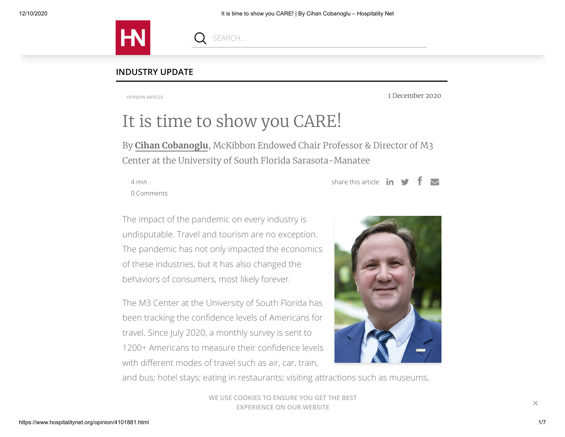

#### **INDUSTRY UPDATE**

**OPINION ARTICLE**

1 December 2020

# It is time to show you CARE!

By **Cihan [Cobanoglu](https://www.hospitalitynet.org/author/148001262/cihan-cobanoglu.html)**, McKibbon Endowed Chair Professor & Director of M3 Center at the University of South Florida Sarasota-Manatee

4 min · [0 Comments](#page-4-0) share this article  $\mathbf{in}$  $\blacktriangledown$ 

The impact of the pandemic on every industry is undisputable. Travel and tourism are no exception. The pandemic has not only impacted the economics of these industries, but it has also changed the behaviors of consumers, most likely forever.

The M3 Center at the University of South Florida has been tracking the confidence levels of Americans for travel. Since July 2020, a monthly survey is sent to 1200+ Americans to measure their confidence levels with different modes of travel such as air, car, train,



and bus; hotel stays; eating in restaurants; visiting attractions such as museums,

WE USE COOKIES TO ENSURE YOU GET THE BEST **EXPERIENCE ON OUR WEBSITE ×**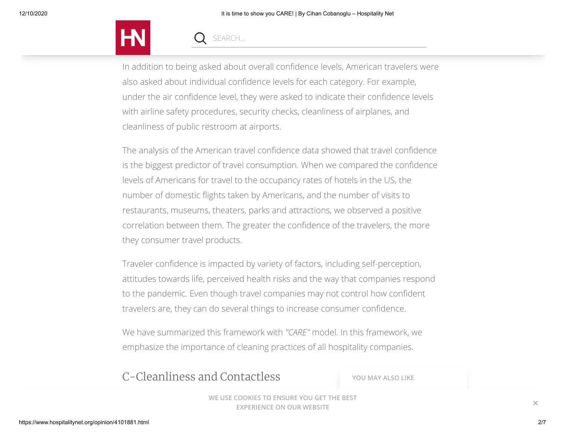

In addition to being asked about overall confidence levels, American travelers were also asked about individual confidence levels for each category. For example, under the air confidence level, they were asked to indicate their confidence levels with airline safety procedures, security checks, cleanliness of airplanes, and cleanliness of public restroom at airports.

The analysis of the American travel confidence data showed that travel confidence is the biggest predictor of travel consumption. When we compared the confidence levels of Americans for travel to the occupancy rates of hotels in the US, the number of domestic flights taken by Americans, and the number of visits to restaurants, museums, theaters, parks and attractions, we observed a positive correlation between them. The greater the confidence of the travelers, the more they consumer travel products.

Traveler confidence is impacted by variety of factors, including self-perception, attitudes towards life, perceived health risks and the way that companies respond to the pandemic. Even though travel companies may not control how confident travelers are, they can do several things to increase consumer confidence.

We have summarized this framework with *"CARE"* model. In this framework, we emphasize the importance of cleaning practices of all hospitality companies.

## C-Cleanliness and Contactless

**YOU MAY ALSO LIKE**

**WE USE COOKIES TO ENSURE YOU GET THE BEST EXPERIENCE ON OUR WEBSITE**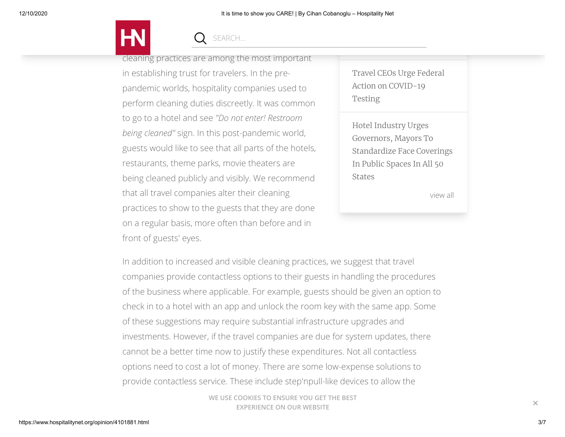

cleaning practices are among the most important in establishing trust for travelers. In the prepandemic worlds, hospitality companies used to perform cleaning duties discreetly. It was common to go to a hotel and see *"Do not enter! Restroom being cleaned"* sign. In this post-pandemic world, guests would like to see that all parts of the hotels, restaurants, theme parks, movie theaters are being cleaned publicly and visibly. We recommend that all travel companies alter their cleaning practices to show to the guests that they are done on a regular basis, more often than before and in front of guests' eyes.

Travel CEOs Urge Federal Action on [COVID-19](https://www.hospitalitynet.org/news/4099872.html) Testing

Future of [Hospitality](https://www.hospitalitynet.org/opinion/4099946.html)

Hotel Industry Urges Governors, Mayors To [Standardize](https://www.hospitalitynet.org/news/4099734.html) Face Coverings In Public Spaces In All 50 States

[view all](https://www.hospitalitynet.org/search.html?q=mlt:4101881)

In addition to increased and visible cleaning practices, we suggest that travel companies provide contactless options to their guests in handling the procedures of the business where applicable. For example, guests should be given an option to check in to a hotel with an app and unlock the room key with the same app. Some of these suggestions may require substantial infrastructure upgrades and investments. However, if the travel companies are due for system updates, there cannot be a better time now to justify these expenditures. Not all contactless options need to cost a lot of money. There are some low-expense solutions to provide contactless service. These include step'npull-like devices to allow the

> WE USE COOKIES TO ENSURE YOU GET THE BEST. **EXPERIENCE ON OUR WEBSITE**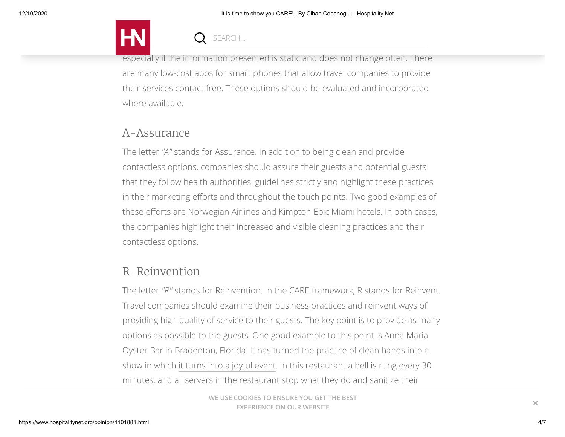

especially if the information presented is static and does not change often. There are many low-cost apps for smart phones that allow travel companies to provide their services contact free. These options should be evaluated and incorporated where available.

## A-Assurance

The letter *"A"* stands for Assurance. In addition to being clean and provide contactless options, companies should assure their guests and potential guests that they follow health authorities' guidelines strictly and highlight these practices in their marketing efforts and throughout the touch points. Two good examples of these efforts are [Norwegian Airlines](https://www.youtube.com/watch?v=QSvJZXnJHWc&feature=emb_logo) and [Kimpton Epic Miami hotels.](https://www.epichotel.com/event-space-miami/) In both cases, the companies highlight their increased and visible cleaning practices and their contactless options.

## R-Reinvention

The letter *"R"* stands for Reinvention. In the CARE framework, R stands for Reinvent. Travel companies should examine their business practices and reinvent ways of providing high quality of service to their guests. The key point is to provide as many options as possible to the guests. One good example to this point is Anna Maria Oyster Bar in Bradenton, Florida. It has turned the practice of clean hands into a show in which [it turns into a joyful event.](https://www.mysuncoast.com/2020/07/26/suncoast-restaurant-becomes-first-earn-covid-safety-award/?fbclid=IwAR27JcujOYzfxr4yFRRUlkpKwulBAK0mrDQBhirMc2IdH5QsE7Cm0u74bSg) In this restaurant a bell is rung every 30 minutes, and all servers in the restaurant stop what they do and sanitize their

> **WE USE COOKIES TO ENSURE YOU GET THE BEST EXPERIENCE ON OUR WEBSITE**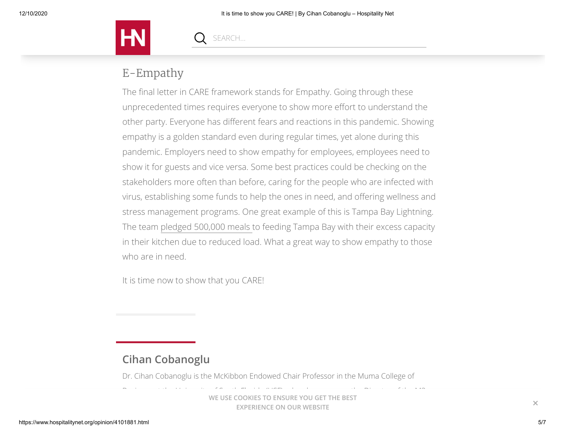

## E-Empathy

The final letter in CARE framework stands for Empathy. Going through these unprecedented times requires everyone to show more effort to understand the other party. Everyone has different fears and reactions in this pandemic. Showing empathy is a golden standard even during regular times, yet alone during this pandemic. Employers need to show empathy for employees, employees need to show it for guests and vice versa. Some best practices could be checking on the stakeholders more often than before, caring for the people who are infected with virus, establishing some funds to help the ones in need, and offering wellness and stress management programs. One great example of this is Tampa Bay Lightning. The team [pledged 500,000 meals t](https://www.nhl.com/lightning/news/tampa-bay-lightning-players-pledge-500000-meals-to-feeding-tampa-bay/c-316286336)o feeding Tampa Bay with their excess capacity in their kitchen due to reduced load. What a great way to show empathy to those who are in need.

<span id="page-4-0"></span>It is time now to show that you CARE!

## **Cihan Cobanoglu**

Dr. Cihan Cobanoglu is the McKibbon Endowed Chair Professor in the Muma College of

Business at the University of South Florida (USF), who also serves as the Director of the M3 **WE USE COOKIES TO ENSURE YOU GET THE BEST EXPERIENCE ON OUR WEBSITE**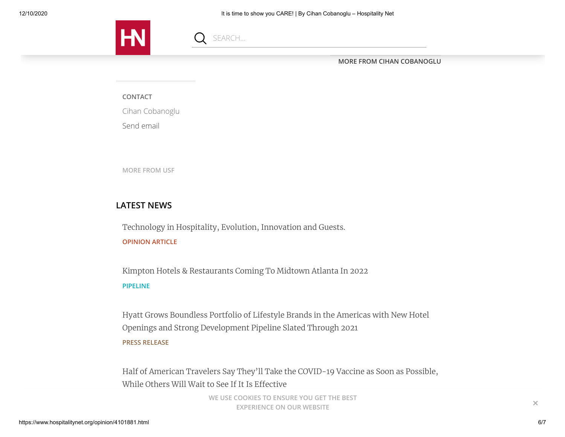

**[MORE FROM CIHAN COBANOGLU](https://www.hospitalitynet.org/author/148001262/cihan-cobanoglu.html)**

**CONTACT**

Cihan Cobanoglu

[Send email](mailto:cihan@cihan.org)

**[MORE FROM USF](https://www.hospitalitynet.org/organization/17014852/usf.html)**

#### **LATEST NEWS**

Technology in [Hospitality,](https://www.hospitalitynet.org/opinion/4102024.html) Evolution, Innovation and Guests. **OPINION ARTICLE**

SEARCH...

Kimpton Hotels & [Restaurants](https://www.hospitalitynet.org/announcement/41005632.html) Coming To Midtown Atlanta In 2022 **PIPELINE**

Hyatt Grows Boundless Portfolio of Lifestyle Brands in the Americas with New Hotel Openings and Strong [Development](https://www.hospitalitynet.org/news/4102045.html) Pipeline Slated Through 2021 **PRESS RELEASE**

Half of American Travelers Say They'll Take the [COVID-19](https://www.hospitalitynet.org/performance/4102044.html) Vaccine as Soon as Possible, While Others Will Wait to See If It Is Effective

> WE USE COOKIES TO ENSURE YOU GET THE BEST **EXPERIENCE ON OUR WEBSITE X**